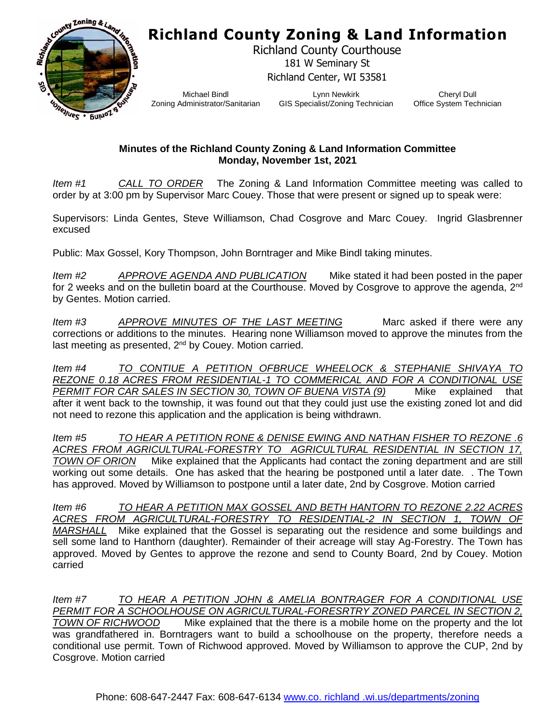## **Richland County Zoning & Land Information**



Richland County Courthouse 181 W Seminary St Richland Center, WI 53581

Michael Bindl Zoning Administrator/Sanitarian

Lynn Newkirk GIS Specialist/Zoning Technician

Cheryl Dull Office System Technician

## **Minutes of the Richland County Zoning & Land Information Committee Monday, November 1st, 2021**

*Item #1 CALL TO ORDER* The Zoning & Land Information Committee meeting was called to order by at 3:00 pm by Supervisor Marc Couey. Those that were present or signed up to speak were:

Supervisors: Linda Gentes, Steve Williamson, Chad Cosgrove and Marc Couey. Ingrid Glasbrenner excused

Public: Max Gossel, Kory Thompson, John Borntrager and Mike Bindl taking minutes.

*Item #2 APPROVE AGENDA AND PUBLICATION* Mike stated it had been posted in the paper for 2 weeks and on the bulletin board at the Courthouse. Moved by Cosgrove to approve the agenda, 2<sup>nd</sup> by Gentes. Motion carried.

*Item #3* APPROVE MINUTES OF THE LAST MEETING Marc asked if there were any corrections or additions to the minutes. Hearing none Williamson moved to approve the minutes from the last meeting as presented, 2<sup>nd</sup> by Couey. Motion carried.

*Item #4 TO CONTIUE A PETITION OFBRUCE WHEELOCK & STEPHANIE SHIVAYA TO REZONE 0.18 ACRES FROM RESIDENTIAL-1 TO COMMERICAL AND FOR A CONDITIONAL USE PERMIT FOR CAR SALES IN SECTION 30, TOWN OF BUENA VISTA (9)* Mike explained that after it went back to the township, it was found out that they could just use the existing zoned lot and did not need to rezone this application and the application is being withdrawn.

*Item #5 TO HEAR A PETITION RONE & DENISE EWING AND NATHAN FISHER TO REZONE .6 ACRES FROM AGRICULTURAL-FORESTRY TO AGRICULTURAL RESIDENTIAL IN SECTION 17, TOWN OF ORION* Mike explained that the Applicants had contact the zoning department and are still working out some details. One has asked that the hearing be postponed until a later date. . The Town has approved. Moved by Williamson to postpone until a later date, 2nd by Cosgrove. Motion carried

*Item #6 TO HEAR A PETITION MAX GOSSEL AND BETH HANTORN TO REZONE 2.22 ACRES ACRES FROM AGRICULTURAL-FORESTRY TO RESIDENTIAL-2 IN SECTION 1, TOWN OF MARSHALL* Mike explained that the Gossel is separating out the residence and some buildings and sell some land to Hanthorn (daughter). Remainder of their acreage will stay Ag-Forestry. The Town has approved. Moved by Gentes to approve the rezone and send to County Board, 2nd by Couey. Motion carried

*Item #7 TO HEAR A PETITION JOHN & AMELIA BONTRAGER FOR A CONDITIONAL USE PERMIT FOR A SCHOOLHOUSE ON AGRICULTURAL-FORESRTRY ZONED PARCEL IN SECTION 2, TOWN OF RICHWOOD* Mike explained that the there is a mobile home on the property and the lot was grandfathered in. Borntragers want to build a schoolhouse on the property, therefore needs a conditional use permit. Town of Richwood approved. Moved by Williamson to approve the CUP, 2nd by Cosgrove. Motion carried